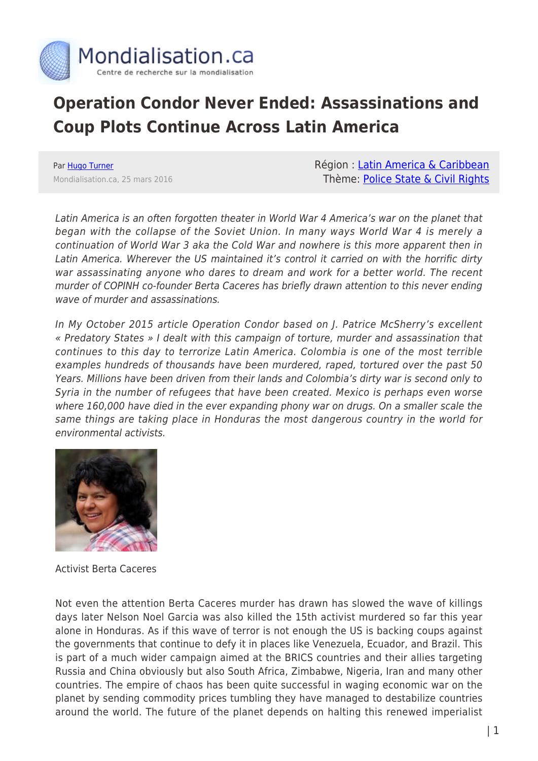

## **Operation Condor Never Ended: Assassinations and Coup Plots Continue Across Latin America**

Par [Hugo Turner](https://www.mondialisation.ca/author/hugo-turner) Mondialisation.ca, 25 mars 2016 Région : [Latin America & Caribbean](https://www.mondialisation.ca/region/latin-america-caribbean) Thème: [Police State & Civil Rights](https://www.mondialisation.ca/theme/police-state-civil-rights)

Latin America is an often forgotten theater in World War 4 America's war on the planet that began with the collapse of the Soviet Union. In many ways World War 4 is merely a continuation of World War 3 aka the Cold War and nowhere is this more apparent then in Latin America. Wherever the US maintained it's control it carried on with the horrific dirty war assassinating anyone who dares to dream and work for a better world. The recent murder of COPINH co-founder Berta Caceres has briefly drawn attention to this never ending wave of murder and assassinations.

In My October 2015 article Operation Condor based on J. Patrice McSherry's excellent « Predatory States » I dealt with this campaign of torture, murder and assassination that continues to this day to terrorize Latin America. Colombia is one of the most terrible examples hundreds of thousands have been murdered, raped, tortured over the past 50 Years. Millions have been driven from their lands and Colombia's dirty war is second only to Syria in the number of refugees that have been created. Mexico is perhaps even worse where 160,000 have died in the ever expanding phony war on drugs. On a smaller scale the same things are taking place in Honduras the most dangerous country in the world for environmental activists.



Activist Berta Caceres

Not even the attention Berta Caceres murder has drawn has slowed the wave of killings days later Nelson Noel Garcia was also killed the 15th activist murdered so far this year alone in Honduras. As if this wave of terror is not enough the US is backing coups against the governments that continue to defy it in places like Venezuela, Ecuador, and Brazil. This is part of a much wider campaign aimed at the BRICS countries and their allies targeting Russia and China obviously but also South Africa, Zimbabwe, Nigeria, Iran and many other countries. The empire of chaos has been quite successful in waging economic war on the planet by sending commodity prices tumbling they have managed to destabilize countries around the world. The future of the planet depends on halting this renewed imperialist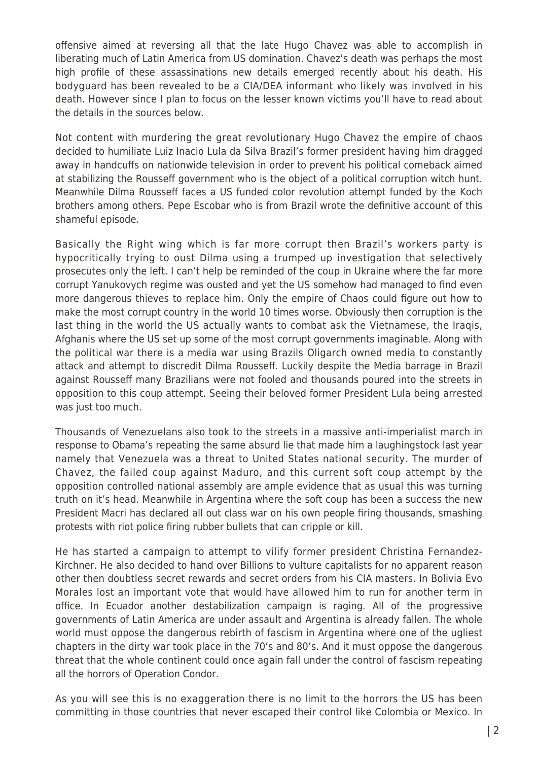offensive aimed at reversing all that the late Hugo Chavez was able to accomplish in liberating much of Latin America from US domination. Chavez's death was perhaps the most high profile of these assassinations new details emerged recently about his death. His bodyguard has been revealed to be a CIA/DEA informant who likely was involved in his death. However since I plan to focus on the lesser known victims you'll have to read about the details in the sources below.

Not content with murdering the great revolutionary Hugo Chavez the empire of chaos decided to humiliate Luiz Inacio Lula da Silva Brazil's former president having him dragged away in handcuffs on nationwide television in order to prevent his political comeback aimed at stabilizing the Rousseff government who is the object of a political corruption witch hunt. Meanwhile Dilma Rousseff faces a US funded color revolution attempt funded by the Koch brothers among others. Pepe Escobar who is from Brazil wrote the definitive account of this shameful episode.

Basically the Right wing which is far more corrupt then Brazil's workers party is hypocritically trying to oust Dilma using a trumped up investigation that selectively prosecutes only the left. I can't help be reminded of the coup in Ukraine where the far more corrupt Yanukovych regime was ousted and yet the US somehow had managed to find even more dangerous thieves to replace him. Only the empire of Chaos could figure out how to make the most corrupt country in the world 10 times worse. Obviously then corruption is the last thing in the world the US actually wants to combat ask the Vietnamese, the Iraqis, Afghanis where the US set up some of the most corrupt governments imaginable. Along with the political war there is a media war using Brazils Oligarch owned media to constantly attack and attempt to discredit Dilma Rousseff. Luckily despite the Media barrage in Brazil against Rousseff many Brazilians were not fooled and thousands poured into the streets in opposition to this coup attempt. Seeing their beloved former President Lula being arrested was just too much.

Thousands of Venezuelans also took to the streets in a massive anti-imperialist march in response to Obama's repeating the same absurd lie that made him a laughingstock last year namely that Venezuela was a threat to United States national security. The murder of Chavez, the failed coup against Maduro, and this current soft coup attempt by the opposition controlled national assembly are ample evidence that as usual this was turning truth on it's head. Meanwhile in Argentina where the soft coup has been a success the new President Macri has declared all out class war on his own people firing thousands, smashing protests with riot police firing rubber bullets that can cripple or kill.

He has started a campaign to attempt to vilify former president Christina Fernandez-Kirchner. He also decided to hand over Billions to vulture capitalists for no apparent reason other then doubtless secret rewards and secret orders from his CIA masters. In Bolivia Evo Morales lost an important vote that would have allowed him to run for another term in office. In Ecuador another destabilization campaign is raging. All of the progressive governments of Latin America are under assault and Argentina is already fallen. The whole world must oppose the dangerous rebirth of fascism in Argentina where one of the ugliest chapters in the dirty war took place in the 70's and 80's. And it must oppose the dangerous threat that the whole continent could once again fall under the control of fascism repeating all the horrors of Operation Condor.

As you will see this is no exaggeration there is no limit to the horrors the US has been committing in those countries that never escaped their control like Colombia or Mexico. In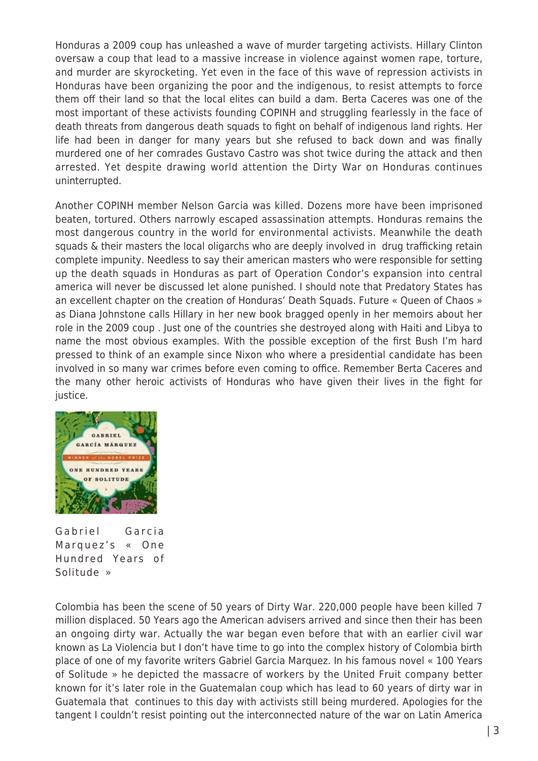Honduras a 2009 coup has unleashed a wave of murder targeting activists. Hillary Clinton oversaw a coup that lead to a massive increase in violence against women rape, torture, and murder are skyrocketing. Yet even in the face of this wave of repression activists in Honduras have been organizing the poor and the indigenous, to resist attempts to force them off their land so that the local elites can build a dam. Berta Caceres was one of the most important of these activists founding COPINH and struggling fearlessly in the face of death threats from dangerous death squads to fight on behalf of indigenous land rights. Her life had been in danger for many years but she refused to back down and was finally murdered one of her comrades Gustavo Castro was shot twice during the attack and then arrested. Yet despite drawing world attention the Dirty War on Honduras continues uninterrupted.

Another COPINH member Nelson Garcia was killed. Dozens more have been imprisoned beaten, tortured. Others narrowly escaped assassination attempts. Honduras remains the most dangerous country in the world for environmental activists. Meanwhile the death squads & their masters the local oligarchs who are deeply involved in drug trafficking retain complete impunity. Needless to say their american masters who were responsible for setting up the death squads in Honduras as part of Operation Condor's expansion into central america will never be discussed let alone punished. I should note that Predatory States has an excellent chapter on the creation of Honduras' Death Squads. Future « Queen of Chaos » as Diana Johnstone calls Hillary in her new book bragged openly in her memoirs about her role in the 2009 coup . Just one of the countries she destroyed along with Haiti and Libya to name the most obvious examples. With the possible exception of the first Bush I'm hard pressed to think of an example since Nixon who where a presidential candidate has been involved in so many war crimes before even coming to office. Remember Berta Caceres and the many other heroic activists of Honduras who have given their lives in the fight for justice.



Gabriel Garcia Marquez's « One Hundred Years of Solitude »

Colombia has been the scene of 50 years of Dirty War. 220,000 people have been killed 7 million displaced. 50 Years ago the American advisers arrived and since then their has been an ongoing dirty war. Actually the war began even before that with an earlier civil war known as La Violencia but I don't have time to go into the complex history of Colombia birth place of one of my favorite writers Gabriel Garcia Marquez. In his famous novel « 100 Years of Solitude » he depicted the massacre of workers by the United Fruit company better known for it's later role in the Guatemalan coup which has lead to 60 years of dirty war in Guatemala that continues to this day with activists still being murdered. Apologies for the tangent I couldn't resist pointing out the interconnected nature of the war on Latin America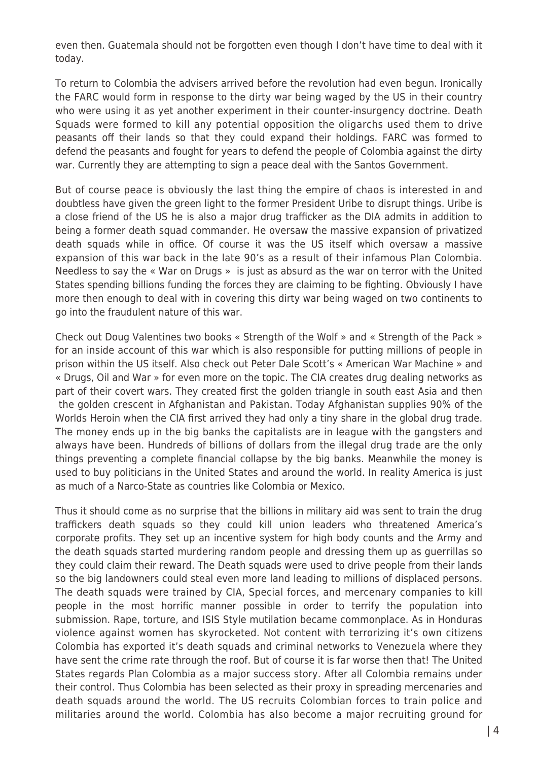even then. Guatemala should not be forgotten even though I don't have time to deal with it today.

To return to Colombia the advisers arrived before the revolution had even begun. Ironically the FARC would form in response to the dirty war being waged by the US in their country who were using it as yet another experiment in their counter-insurgency doctrine. Death Squads were formed to kill any potential opposition the oligarchs used them to drive peasants off their lands so that they could expand their holdings. FARC was formed to defend the peasants and fought for years to defend the people of Colombia against the dirty war. Currently they are attempting to sign a peace deal with the Santos Government.

But of course peace is obviously the last thing the empire of chaos is interested in and doubtless have given the green light to the former President Uribe to disrupt things. Uribe is a close friend of the US he is also a major drug trafficker as the DIA admits in addition to being a former death squad commander. He oversaw the massive expansion of privatized death squads while in office. Of course it was the US itself which oversaw a massive expansion of this war back in the late 90's as a result of their infamous Plan Colombia. Needless to say the « War on Drugs » is just as absurd as the war on terror with the United States spending billions funding the forces they are claiming to be fighting. Obviously I have more then enough to deal with in covering this dirty war being waged on two continents to go into the fraudulent nature of this war.

Check out Doug Valentines two books « Strength of the Wolf » and « Strength of the Pack » for an inside account of this war which is also responsible for putting millions of people in prison within the US itself. Also check out Peter Dale Scott's « American War Machine » and « Drugs, Oil and War » for even more on the topic. The CIA creates drug dealing networks as part of their covert wars. They created first the golden triangle in south east Asia and then the golden crescent in Afghanistan and Pakistan. Today Afghanistan supplies 90% of the Worlds Heroin when the CIA first arrived they had only a tiny share in the global drug trade. The money ends up in the big banks the capitalists are in league with the gangsters and always have been. Hundreds of billions of dollars from the illegal drug trade are the only things preventing a complete financial collapse by the big banks. Meanwhile the money is used to buy politicians in the United States and around the world. In reality America is just as much of a Narco-State as countries like Colombia or Mexico.

Thus it should come as no surprise that the billions in military aid was sent to train the drug traffickers death squads so they could kill union leaders who threatened America's corporate profits. They set up an incentive system for high body counts and the Army and the death squads started murdering random people and dressing them up as guerrillas so they could claim their reward. The Death squads were used to drive people from their lands so the big landowners could steal even more land leading to millions of displaced persons. The death squads were trained by CIA, Special forces, and mercenary companies to kill people in the most horrific manner possible in order to terrify the population into submission. Rape, torture, and ISIS Style mutilation became commonplace. As in Honduras violence against women has skyrocketed. Not content with terrorizing it's own citizens Colombia has exported it's death squads and criminal networks to Venezuela where they have sent the crime rate through the roof. But of course it is far worse then that! The United States regards Plan Colombia as a major success story. After all Colombia remains under their control. Thus Colombia has been selected as their proxy in spreading mercenaries and death squads around the world. The US recruits Colombian forces to train police and militaries around the world. Colombia has also become a major recruiting ground for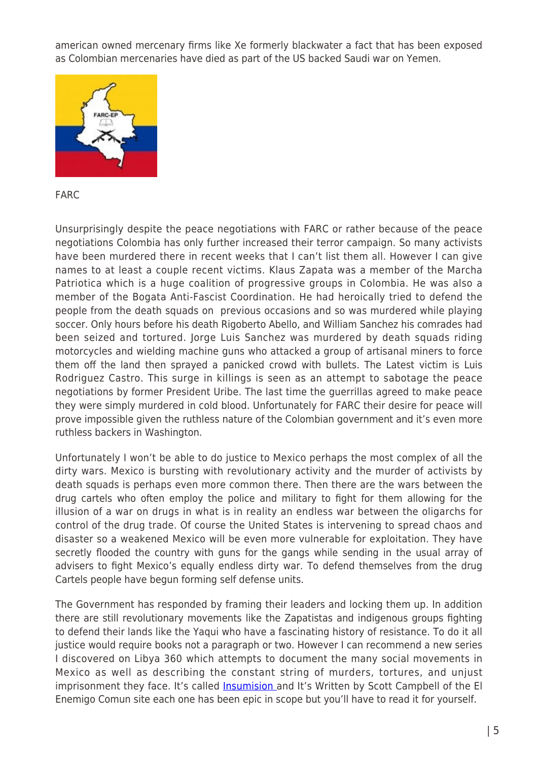american owned mercenary firms like Xe formerly blackwater a fact that has been exposed as Colombian mercenaries have died as part of the US backed Saudi war on Yemen.



FARC

Unsurprisingly despite the peace negotiations with FARC or rather because of the peace negotiations Colombia has only further increased their terror campaign. So many activists have been murdered there in recent weeks that I can't list them all. However I can give names to at least a couple recent victims. Klaus Zapata was a member of the Marcha Patriotica which is a huge coalition of progressive groups in Colombia. He was also a member of the Bogata Anti-Fascist Coordination. He had heroically tried to defend the people from the death squads on previous occasions and so was murdered while playing soccer. Only hours before his death Rigoberto Abello, and William Sanchez his comrades had been seized and tortured. Jorge Luis Sanchez was murdered by death squads riding motorcycles and wielding machine guns who attacked a group of artisanal miners to force them off the land then sprayed a panicked crowd with bullets. The Latest victim is Luis Rodriguez Castro. This surge in killings is seen as an attempt to sabotage the peace negotiations by former President Uribe. The last time the guerrillas agreed to make peace they were simply murdered in cold blood. Unfortunately for FARC their desire for peace will prove impossible given the ruthless nature of the Colombian government and it's even more ruthless backers in Washington.

Unfortunately I won't be able to do justice to Mexico perhaps the most complex of all the dirty wars. Mexico is bursting with revolutionary activity and the murder of activists by death squads is perhaps even more common there. Then there are the wars between the drug cartels who often employ the police and military to fight for them allowing for the illusion of a war on drugs in what is in reality an endless war between the oligarchs for control of the drug trade. Of course the United States is intervening to spread chaos and disaster so a weakened Mexico will be even more vulnerable for exploitation. They have secretly flooded the country with guns for the gangs while sending in the usual array of advisers to fight Mexico's equally endless dirty war. To defend themselves from the drug Cartels people have begun forming self defense units.

The Government has responded by framing their leaders and locking them up. In addition there are still revolutionary movements like the Zapatistas and indigenous groups fighting to defend their lands like the Yaqui who have a fascinating history of resistance. To do it all justice would require books not a paragraph or two. However I can recommend a new series I discovered on Libya 360 which attempts to document the many social movements in Mexico as well as describing the constant string of murders, tortures, and unjust imprisonment they face. It's called **Insumision** and It's Written by Scott Campbell of the El Enemigo Comun site each one has been epic in scope but you'll have to read it for yourself.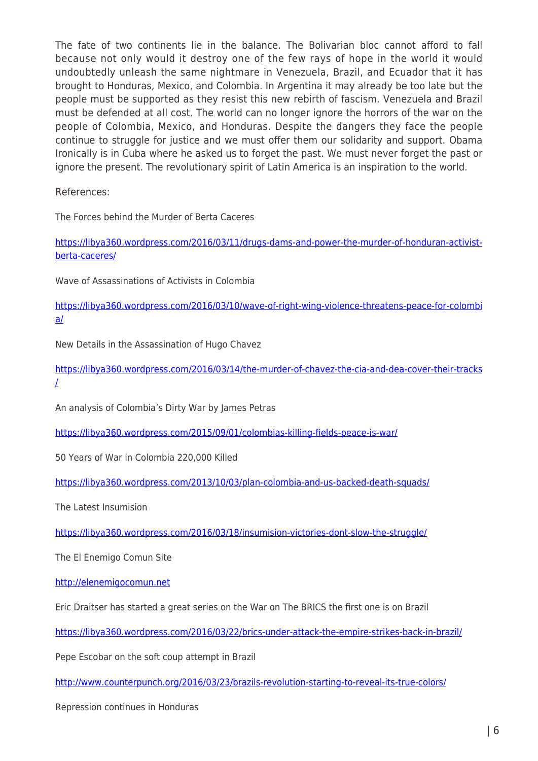The fate of two continents lie in the balance. The Bolivarian bloc cannot afford to fall because not only would it destroy one of the few rays of hope in the world it would undoubtedly unleash the same nightmare in Venezuela, Brazil, and Ecuador that it has brought to Honduras, Mexico, and Colombia. In Argentina it may already be too late but the people must be supported as they resist this new rebirth of fascism. Venezuela and Brazil must be defended at all cost. The world can no longer ignore the horrors of the war on the people of Colombia, Mexico, and Honduras. Despite the dangers they face the people continue to struggle for justice and we must offer them our solidarity and support. Obama Ironically is in Cuba where he asked us to forget the past. We must never forget the past or ignore the present. The revolutionary spirit of Latin America is an inspiration to the world.

References:

The Forces behind the Murder of Berta Caceres

[https://libya360.wordpress.com/2016/03/11/drugs-dams-and-power-the-murder-of-honduran-activist](https://libya360.wordpress.com/2016/03/11/drugs-dams-and-power-the-murder-of-honduran-activist-berta-caceres/)[berta-caceres/](https://libya360.wordpress.com/2016/03/11/drugs-dams-and-power-the-murder-of-honduran-activist-berta-caceres/)

Wave of Assassinations of Activists in Colombia

[https://libya360.wordpress.com/2016/03/10/wave-of-right-wing-violence-threatens-peace-for-colombi](https://libya360.wordpress.com/2016/03/10/wave-of-right-wing-violence-threatens-peace-for-colombia/) [a/](https://libya360.wordpress.com/2016/03/10/wave-of-right-wing-violence-threatens-peace-for-colombia/)

New Details in the Assassination of Hugo Chavez

[https://libya360.wordpress.com/2016/03/14/the-murder-of-chavez-the-cia-and-dea-cover-their-tracks](https://libya360.wordpress.com/2016/03/14/the-murder-of-chavez-the-cia-and-dea-cover-their-tracks/) [/](https://libya360.wordpress.com/2016/03/14/the-murder-of-chavez-the-cia-and-dea-cover-their-tracks/)

An analysis of Colombia's Dirty War by James Petras

<https://libya360.wordpress.com/2015/09/01/colombias-killing-fields-peace-is-war/>

50 Years of War in Colombia 220,000 Killed

<https://libya360.wordpress.com/2013/10/03/plan-colombia-and-us-backed-death-squads/>

The Latest Insumision

<https://libya360.wordpress.com/2016/03/18/insumision-victories-dont-slow-the-struggle/>

The El Enemigo Comun Site

[http://elenemigocomun.net](http://elenemigocomun.net/)

Eric Draitser has started a great series on the War on The BRICS the first one is on Brazil

<https://libya360.wordpress.com/2016/03/22/brics-under-attack-the-empire-strikes-back-in-brazil/>

Pepe Escobar on the soft coup attempt in Brazil

<http://www.counterpunch.org/2016/03/23/brazils-revolution-starting-to-reveal-its-true-colors/>

Repression continues in Honduras